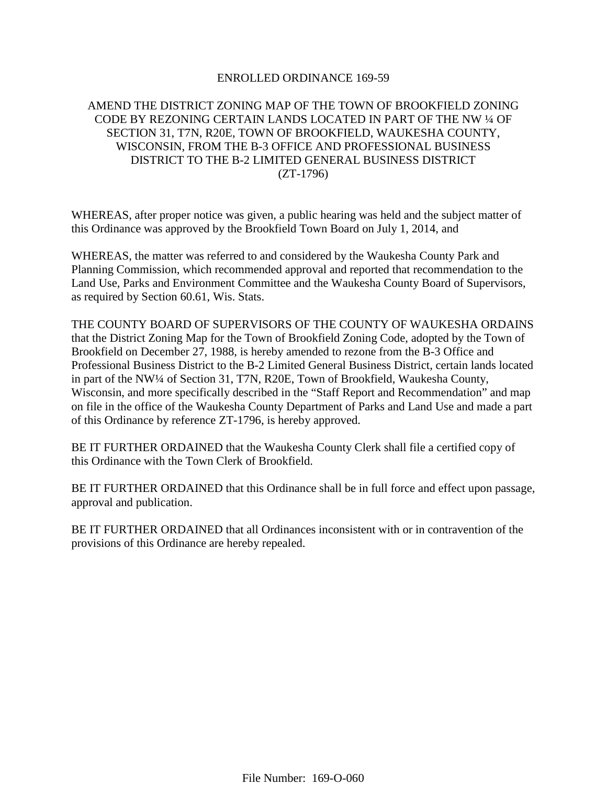### ENROLLED ORDINANCE 169-59

# AMEND THE DISTRICT ZONING MAP OF THE TOWN OF BROOKFIELD ZONING CODE BY REZONING CERTAIN LANDS LOCATED IN PART OF THE NW ¼ OF SECTION 31, T7N, R20E, TOWN OF BROOKFIELD, WAUKESHA COUNTY, WISCONSIN, FROM THE B-3 OFFICE AND PROFESSIONAL BUSINESS DISTRICT TO THE B-2 LIMITED GENERAL BUSINESS DISTRICT (ZT-1796)

WHEREAS, after proper notice was given, a public hearing was held and the subject matter of this Ordinance was approved by the Brookfield Town Board on July 1, 2014, and

WHEREAS, the matter was referred to and considered by the Waukesha County Park and Planning Commission, which recommended approval and reported that recommendation to the Land Use, Parks and Environment Committee and the Waukesha County Board of Supervisors, as required by Section 60.61, Wis. Stats.

THE COUNTY BOARD OF SUPERVISORS OF THE COUNTY OF WAUKESHA ORDAINS that the District Zoning Map for the Town of Brookfield Zoning Code, adopted by the Town of Brookfield on December 27, 1988, is hereby amended to rezone from the B-3 Office and Professional Business District to the B-2 Limited General Business District, certain lands located in part of the NW¼ of Section 31, T7N, R20E, Town of Brookfield, Waukesha County, Wisconsin, and more specifically described in the "Staff Report and Recommendation" and map on file in the office of the Waukesha County Department of Parks and Land Use and made a part of this Ordinance by reference ZT-1796, is hereby approved.

BE IT FURTHER ORDAINED that the Waukesha County Clerk shall file a certified copy of this Ordinance with the Town Clerk of Brookfield.

BE IT FURTHER ORDAINED that this Ordinance shall be in full force and effect upon passage, approval and publication.

BE IT FURTHER ORDAINED that all Ordinances inconsistent with or in contravention of the provisions of this Ordinance are hereby repealed.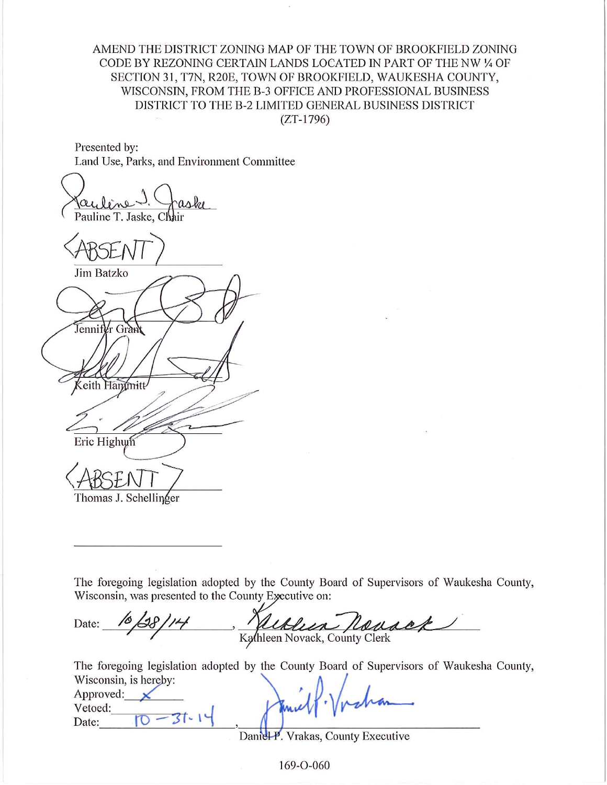AMEND THE DISTRICT ZONING MAP OF THE TOWN OF BROOKFIELD ZONING CODE BY REZONING CERTAIN LANDS LOCATED IN PART OF THE NW 1/4 OF SECTION 31, T7N, R20E, TOWN OF BROOKFIELD, WAUKESHA COUNTY, WISCONSIN, FROM THE B-3 OFFICE AND PROFESSIONAL BUSINESS DISTRICT TO THE B-2 LIMITED GENERAL BUSINESS DISTRICT  $(ZT-1796)$ 

Presented by: Land Use, Parks, and Environment Committee

Pauline T. Jaske, Chair

Jim Batzko Jennifer Grand eith Hammitt Eric Highum Thomas J. Schellinger

The foregoing legislation adopted by the County Board of Supervisors of Waukesha County, Wisconsin, was presented to the County Executive on:

Date: Kathleen Novack, County Clerk

The foregoing legislation adopted by the County Board of Supervisors of Waukesha County, Wisconsin is hereby:

| WISCONSIN, IS REFEDY.<br>Approved: |                          |  |
|------------------------------------|--------------------------|--|
| Vetoed:                            |                          |  |
| Date:                              |                          |  |
|                                    | $\overline{\phantom{a}}$ |  |

Daniel-P. Vrakas, County Executive

169-O-060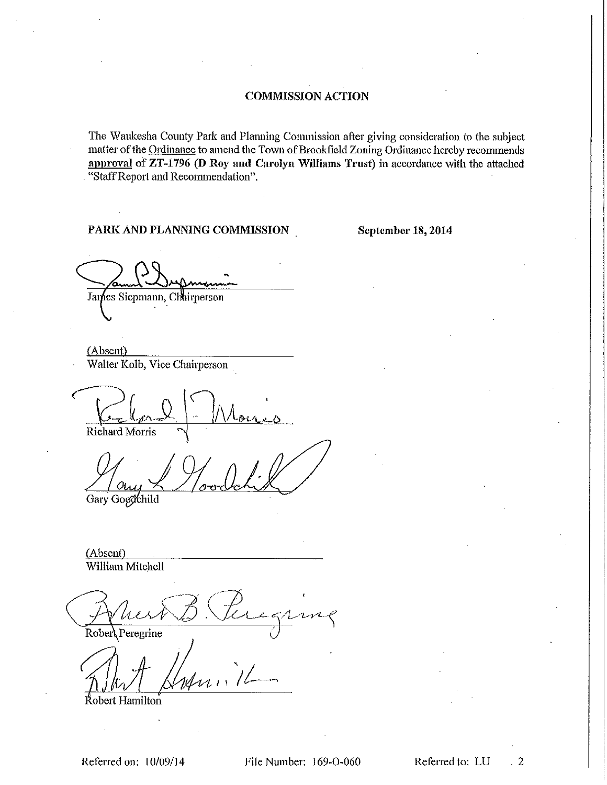The Waukesha County Park and Planning Commission after giving consideration to the subject matter of the Ordinance to amend the Town of Brookfield Zoning Ordinance hereby recommends approval of ZT-1796 (D Roy and Carolyn Williams Trust) in accordance with the attached "Staff Report and Recommendation".

### PARK AND PLANNING COMMISSION

September 18, 2014

James Siepmann, Chairperson

(Absent) Walter Kolb, Vice Chairperson

Richard Morris

Gary Gogdchild

(Absent) William Mitchell

Robert Peregrine

Robert Hamilton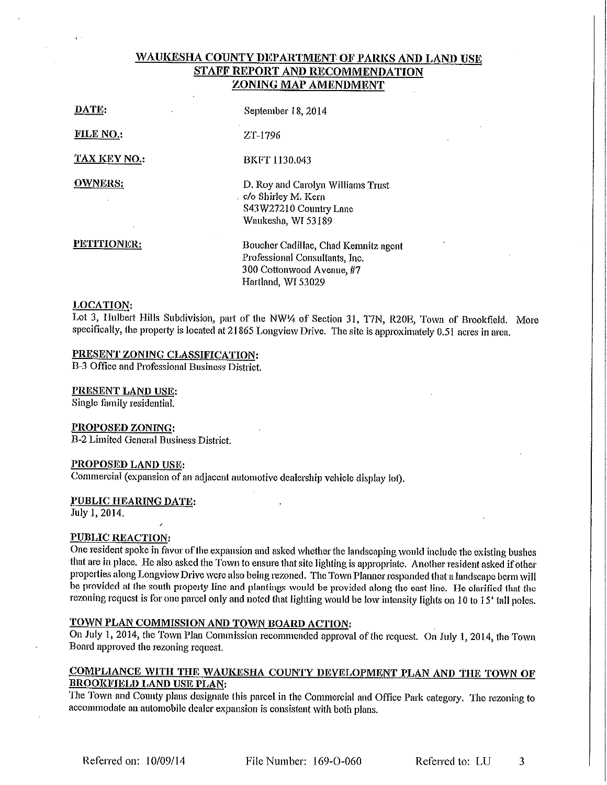# WAUKESHA COUNTY DEPARTMENT OF PARKS AND LAND USE **STAFF REPORT AND RECOMMENDATION** ZONING MAP AMENDMENT

| DATE:               | September 18, 2014                                                                                                        |
|---------------------|---------------------------------------------------------------------------------------------------------------------------|
| <b>FILE NO.:</b>    | ZT 1796                                                                                                                   |
| <b>TAX KEY NO.:</b> | <b>BKFT 1130 043</b>                                                                                                      |
| <b>OWNERS:</b>      | D. Roy and Carolyn Williams Trust<br>c/o Shirley M. Kern<br>S43W27210 Country Lane<br>Waukesha, WI 53189                  |
| PETITIONER:         | Boucher Cadillac, Chad Kemnitz agent<br>Professional Consultants, Inc.<br>300 Cottonwood Avenue, #7<br>Hartland, WI 53029 |
| LOCATION·           |                                                                                                                           |

Lot 3, Hulbert Hills Subdivision, part of the NW14 of Section 31, T7N, R20E, Town of Brookfield. More specifically, the property is located at 21865 Longview Drive. The site is approximately 0.51 acres in area.

### PRESENT ZONING CLASSIFICATION:

B-3 Office and Professional Business District.

### PRESENT LAND USE:

Single family residential.

#### **PROPOSED ZONING:**

B-2 Limited General Business District.

#### PROPOSED LAND USE:

Commercial (expansion of an adjacent automotive dealership vehicle display lot).

#### PUBLIC HEARING DATE:

July 1, 2014.

#### **PUBLIC REACTION:**

One resident spoke in favor of the expansion and asked whether the landscaping would include the existing bushes that are in place. He also asked the Town to ensure that site lighting is appropriate. Another resident asked if other properties along Longview Drive were also being rezoned. The Town Planner responded that a landscape berm will be provided at the south property line and plantings would be provided along the east line. He clarified that the rezoning request is for one parcel only and noted that lighting would be low intensity lights on 10 to 15' tall poles.

# TOWN PLAN COMMISSION AND TOWN BOARD ACTION:

On July 1, 2014, the Town Plan Commission recommended approval of the request. On July 1, 2014, the Town Board approved the rezoning request.

## COMPLIANCE WITH THE WAUKESHA COUNTY DEVELOPMENT PLAN AND THE TOWN OF **BROOKFIELD LAND USE PLAN:**

The Town and County plans designate this parcel in the Commercial and Office Park category. The rezoning to accommodate an automobile dealer expansion is consistent with both plans.

File Number: 169-0-060

Referred to: LU 3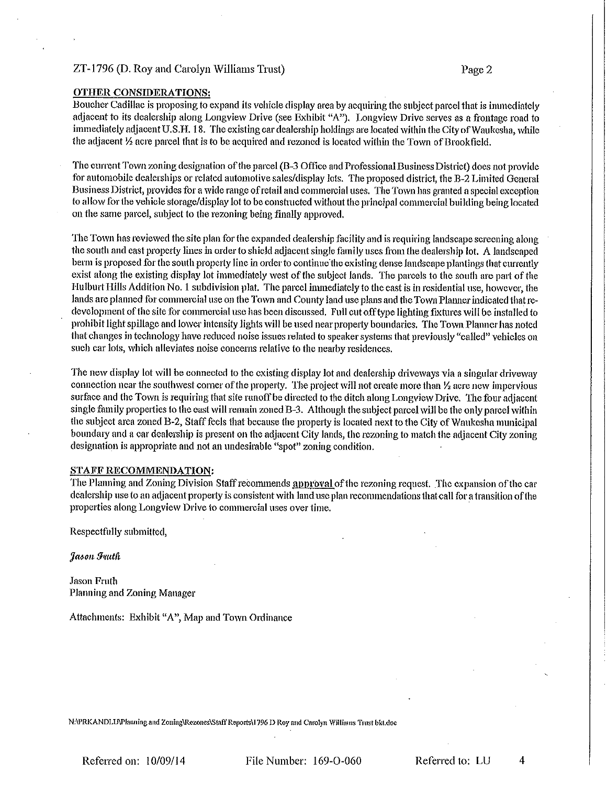### ZT-1796 (D. Roy and Carolyn Williams Trust)

### **OTHER CONSIDERATIONS:**

Boucher Cadillac is proposing to expand its vehicle display area by acquiring the subject parcel that is immediately adjacent to its dealership along Longview Drive (see Exhibit "A"). Longview Drive serves as a frontage road to immediately adjacent U.S.H. 18. The existing car dealership holdings are located within the City of Waukesha, while the adjacent 1/2 acre parcel that is to be acquired and rezoned is located within the Town of Brookfield.

The current Town zoning designation of the parcel (B-3 Office and Professional Business District) does not provide for automobile dealerships or related automotive sales/display lots. The proposed district, the B-2 Limited General Business District, provides for a wide range of retail and commercial uses. The Town has granted a special exception to allow for the vehicle storage/display lot to be constructed without the principal commercial building being located on the same parcel, subject to the rezoning being finally approved.

The Town has reviewed the site plan for the expanded dealership facility and is requiring landscape screening along the south and east property lines in order to shield adjacent single family uses from the dealership lot. A landscaped berm is proposed for the south property line in order to continue the existing dense landscape plantings that currently exist along the existing display lot immediately west of the subject lands. The parcels to the south are part of the Hulburt Hills Addition No. 1 subdivision plat. The parcel immediately to the east is in residential use, however, the lands are planned for commercial use on the Town and County land use plans and the Town Planner indicated that redevelopment of the site for commercial use has been discussed. Full cut off type lighting fixtures will be installed to prohibit light spillage and lower intensity lights will be used near property boundaries. The Town Planner has noted that changes in technology have reduced noise issues related to speaker systems that previously "called" vehicles on such car lots, which alleviates noise concerns relative to the nearby residences,

The new display lot will be connected to the existing display lot and dealership driveways via a singular driveway connection near the southwest corner of the property. The project will not create more than  $\frac{1}{2}$  acre new impervious surface and the Town is requiring that site runoff be directed to the ditch along Longview Drive. The four adjacent single family properties to the east will remain zoned B-3. Although the subject parcel will be the only parcel within the subject area zoned B-2, Staff feels that because the property is located next to the City of Waukesha municipal boundary and a car dealership is present on the adjacent City lands, the rezoning to match the adjacent City zoning designation is appropriate and not an undesirable "spot" zoning condition.

### STAFF RECOMMENDATION:

The Planning and Zoning Division Staff recommends approval of the rezoning request. The expansion of the car dealership use to an adjacent property is consistent with land use plan recommendations that call for a transition of the properties along Longview Drive to commercial uses over time.

Respectfully submitted,

Jason Fruth

Jason Fruth Planning and Zoning Manager

Attachments: Exhibit "A", Map and Town Ordinance

N:\PRKANDLU\Planning and Zoning\Rezones\Staff Reports\1796 D Roy and Carolyn Williams Trust bkt.doc

Referred on: 10/09/14

File Number: 169-O-060

Referred to: LU

4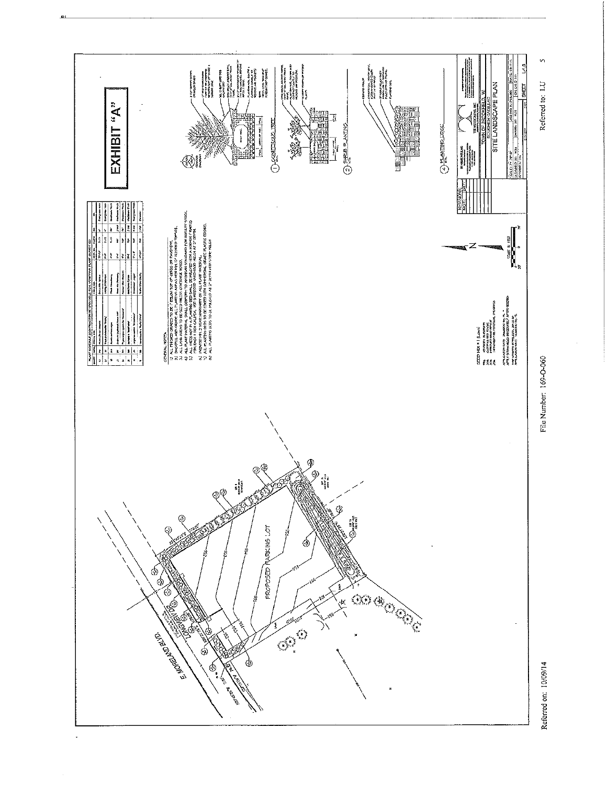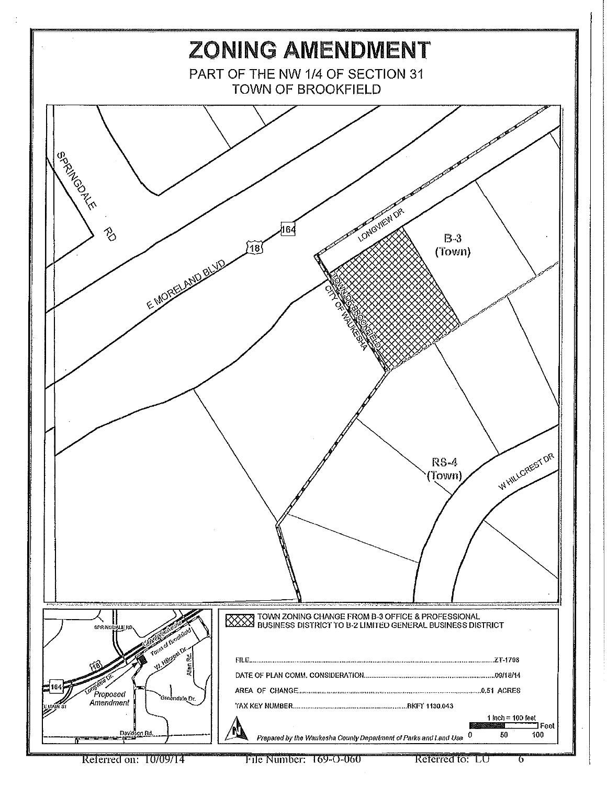

File Number: 169-O-060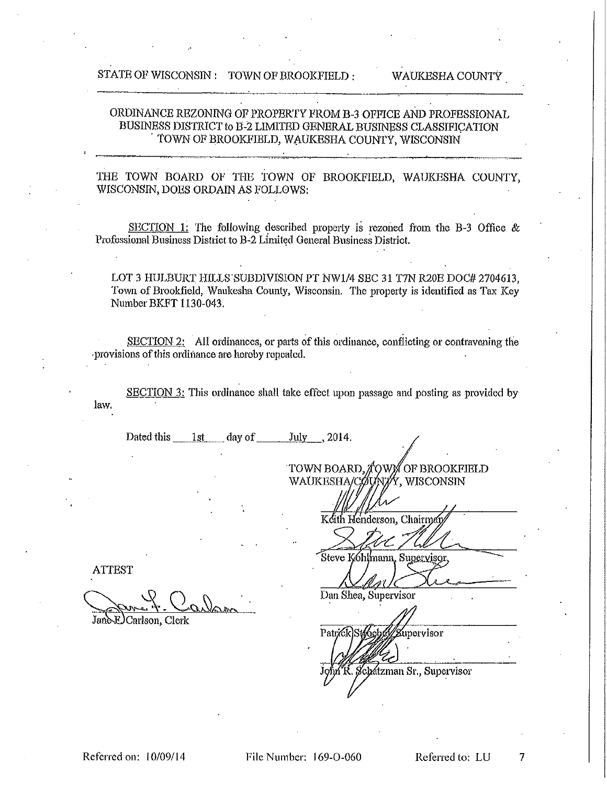# ORDINANCE REZONING OF PROPERTY FROM B-3 OFFICE AND PROFESSIONAL BUSINESS DISTRICT to B-2 LIMITED GENERAL BUSINESS CLASSIFICATION TOWN OF BROOKFIELD, WAUKESHA COUNTY, WISCONSIN

# THE TOWN BOARD OF THE TOWN OF BROOKFIELD, WAUKESHA COUNTY, WISCONSIN, DOES ORDAIN AS FOLLOWS:

SECTION 1: The following described property is rezoned from the B-3 Office  $\&$ Professional Business District to B-2 Limited General Business District.

LOT 3 HULBURT HILLS SUBDIVISION PT NW1/4 SEC 31 T7N R20E DOC# 2704613, Town of Brookfield, Waukesha County, Wisconsin. The property is identified as Tax Key Number BKFT 1130-043.

SECTION 2: All ordinances, or parts of this ordinance, conflicting or contravening the provisions of this ordinance are horoby repealed.

SECTION 3: This ordinance shall take effect upon passage and posting as provided by

Dated this 1st day of July 2014.

**ATTEST** 

law.

Jane-EJ Carlson, Clerk

WAUKESHA/CÓU Ý. WISCONSIN

TOWN BOARD, AOWN OF BROOKFIELD

th Henderson, Chairm

Steve Kóhlmann, Supervisor

Dan Shea, Supervisor

Patrick Stooeb upervisor

Schatzman Sr., Supervisor

File Number: 169-O-060

7